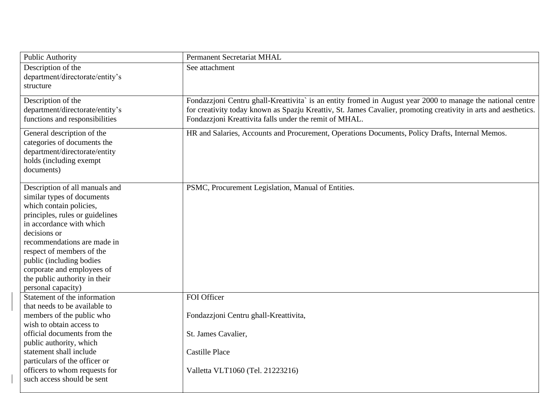| <b>Public Authority</b>                                                                                                                                                                                                                                                                                                                             | <b>Permanent Secretariat MHAL</b>                                                                                                                                                                                                                                                        |
|-----------------------------------------------------------------------------------------------------------------------------------------------------------------------------------------------------------------------------------------------------------------------------------------------------------------------------------------------------|------------------------------------------------------------------------------------------------------------------------------------------------------------------------------------------------------------------------------------------------------------------------------------------|
| Description of the<br>department/directorate/entity's<br>structure                                                                                                                                                                                                                                                                                  | See attachment                                                                                                                                                                                                                                                                           |
| Description of the<br>department/directorate/entity's<br>functions and responsibilities                                                                                                                                                                                                                                                             | Fondazzjoni Centru ghall-Kreattivita` is an entity fromed in August year 2000 to manage the national centre<br>for creativity today known as Spazju Kreattiv, St. James Cavalier, promoting creativity in arts and aesthetics.<br>Fondazzjoni Kreattivita falls under the remit of MHAL. |
| General description of the<br>categories of documents the<br>department/directorate/entity<br>holds (including exempt<br>documents)                                                                                                                                                                                                                 | HR and Salaries, Accounts and Procurement, Operations Documents, Policy Drafts, Internal Memos.                                                                                                                                                                                          |
| Description of all manuals and<br>similar types of documents<br>which contain policies,<br>principles, rules or guidelines<br>in accordance with which<br>decisions or<br>recommendations are made in<br>respect of members of the<br>public (including bodies<br>corporate and employees of<br>the public authority in their<br>personal capacity) | PSMC, Procurement Legislation, Manual of Entities.                                                                                                                                                                                                                                       |
| Statement of the information<br>that needs to be available to<br>members of the public who<br>wish to obtain access to<br>official documents from the<br>public authority, which<br>statement shall include<br>particulars of the officer or<br>officers to whom requests for<br>such access should be sent                                         | FOI Officer<br>Fondazzjoni Centru ghall-Kreattivita,<br>St. James Cavalier,<br><b>Castille Place</b><br>Valletta VLT1060 (Tel. 21223216)                                                                                                                                                 |